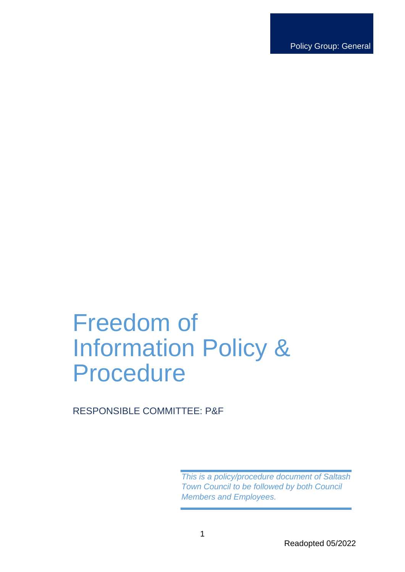Policy Group: General

# Freedom of Information Policy & Procedure

RESPONSIBLE COMMITTEE: P&F

*This is a policy/procedure document of Saltash Town Council to be followed by both Council Members and Employees.*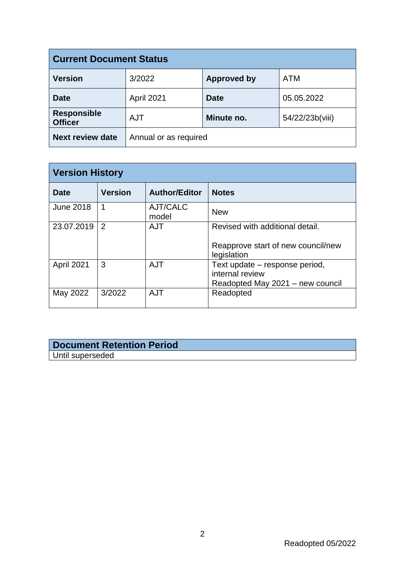| <b>Current Document Status</b>       |                       |                    |                 |  |
|--------------------------------------|-----------------------|--------------------|-----------------|--|
| <b>Version</b>                       | 3/2022                | <b>Approved by</b> | <b>ATM</b>      |  |
| <b>Date</b>                          | April 2021            | <b>Date</b>        | 05.05.2022      |  |
| <b>Responsible</b><br><b>Officer</b> | <b>AJT</b>            | Minute no.         | 54/22/23b(viii) |  |
| <b>Next review date</b>              | Annual or as required |                    |                 |  |

| <b>Version History</b> |                |                      |                                                                                       |  |
|------------------------|----------------|----------------------|---------------------------------------------------------------------------------------|--|
| Date                   | <b>Version</b> | <b>Author/Editor</b> | <b>Notes</b>                                                                          |  |
| <b>June 2018</b>       | 1              | AJT/CALC<br>model    | <b>New</b>                                                                            |  |
| 23.07.2019             | 2              | <b>AJT</b>           | Revised with additional detail.                                                       |  |
|                        |                |                      | Reapprove start of new council/new<br>legislation                                     |  |
| April 2021             | 3              | <b>AJT</b>           | Text update – response period,<br>internal review<br>Readopted May 2021 - new council |  |
| May 2022               | 3/2022         | <b>AJT</b>           | Readopted                                                                             |  |

# **Document Retention Period** Until superseded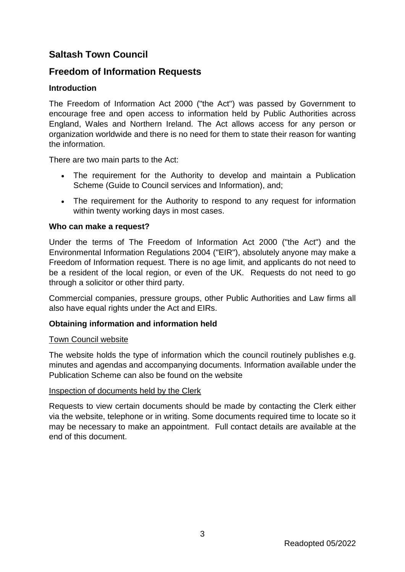# **Saltash Town Council**

# **Freedom of Information Requests**

# **Introduction**

The Freedom of Information Act 2000 ("the Act") was passed by Government to encourage free and open access to information held by Public Authorities across England, Wales and Northern Ireland. The Act allows access for any person or organization worldwide and there is no need for them to state their reason for wanting the information.

There are two main parts to the Act:

- The requirement for the Authority to develop and maintain a Publication Scheme (Guide to Council services and Information), and;
- The requirement for the Authority to respond to any request for information within twenty working days in most cases.

## **Who can make a request?**

Under the terms of The Freedom of Information Act 2000 ("the Act") and the Environmental Information Regulations 2004 ("EIR"), absolutely anyone may make a Freedom of Information request. There is no age limit, and applicants do not need to be a resident of the local region, or even of the UK. Requests do not need to go through a solicitor or other third party.

Commercial companies, pressure groups, other Public Authorities and Law firms all also have equal rights under the Act and EIRs.

## **Obtaining information and information held**

#### Town Council website

The website holds the type of information which the council routinely publishes e.g. minutes and agendas and accompanying documents. Information available under the Publication Scheme can also be found on the website

#### Inspection of documents held by the Clerk

Requests to view certain documents should be made by contacting the Clerk either via the website, telephone or in writing. Some documents required time to locate so it may be necessary to make an appointment. Full contact details are available at the end of this document.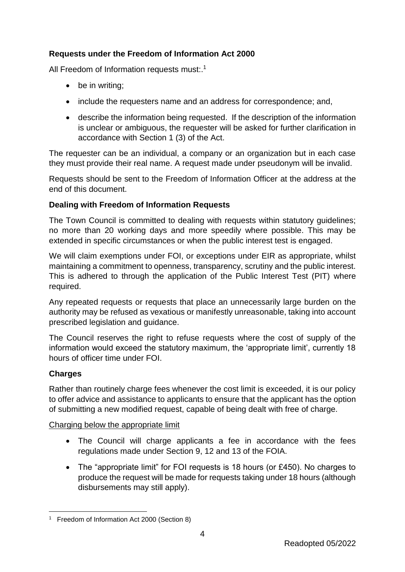# **Requests under the Freedom of Information Act 2000**

All Freedom of Information requests must:.<sup>1</sup>

- be in writing;
- include the requesters name and an address for correspondence; and,
- describe the information being requested. If the description of the information is unclear or ambiguous, the requester will be asked for further clarification in accordance with Section 1 (3) of the Act.

The requester can be an individual, a company or an organization but in each case they must provide their real name. A request made under pseudonym will be invalid.

Requests should be sent to the Freedom of Information Officer at the address at the end of this document.

# **Dealing with Freedom of Information Requests**

The Town Council is committed to dealing with requests within statutory guidelines; no more than 20 working days and more speedily where possible. This may be extended in specific circumstances or when the public interest test is engaged.

We will claim exemptions under FOI, or exceptions under EIR as appropriate, whilst maintaining a commitment to openness, transparency, scrutiny and the public interest. This is adhered to through the application of the Public Interest Test (PIT) where required.

Any repeated requests or requests that place an unnecessarily large burden on the authority may be refused as vexatious or manifestly unreasonable, taking into account prescribed legislation and guidance.

The Council reserves the right to refuse requests where the cost of supply of the information would exceed the statutory maximum, the 'appropriate limit', currently 18 hours of officer time under FOI.

# **Charges**

Rather than routinely charge fees whenever the cost limit is exceeded, it is our policy to offer advice and assistance to applicants to ensure that the applicant has the option of submitting a new modified request, capable of being dealt with free of charge.

# Charging below the appropriate limit

- The Council will charge applicants a fee in accordance with the fees regulations made under Section 9, 12 and 13 of the FOIA.
- The "appropriate limit" for FOI requests is 18 hours (or £450). No charges to produce the request will be made for requests taking under 18 hours (although disbursements may still apply).

4

<sup>1</sup> 1 Freedom of Information Act 2000 (Section 8)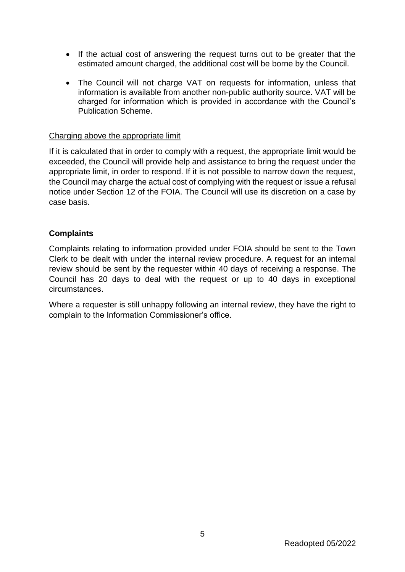- If the actual cost of answering the request turns out to be greater that the estimated amount charged, the additional cost will be borne by the Council.
- The Council will not charge VAT on requests for information, unless that information is available from another non-public authority source. VAT will be charged for information which is provided in accordance with the Council's Publication Scheme.

## Charging above the appropriate limit

If it is calculated that in order to comply with a request, the appropriate limit would be exceeded, the Council will provide help and assistance to bring the request under the appropriate limit, in order to respond. If it is not possible to narrow down the request, the Council may charge the actual cost of complying with the request or issue a refusal notice under Section 12 of the FOIA. The Council will use its discretion on a case by case basis.

## **Complaints**

Complaints relating to information provided under FOIA should be sent to the Town Clerk to be dealt with under the internal review procedure. A request for an internal review should be sent by the requester within 40 days of receiving a response. The Council has 20 days to deal with the request or up to 40 days in exceptional circumstances.

Where a requester is still unhappy following an internal review, they have the right to complain to the Information Commissioner's office.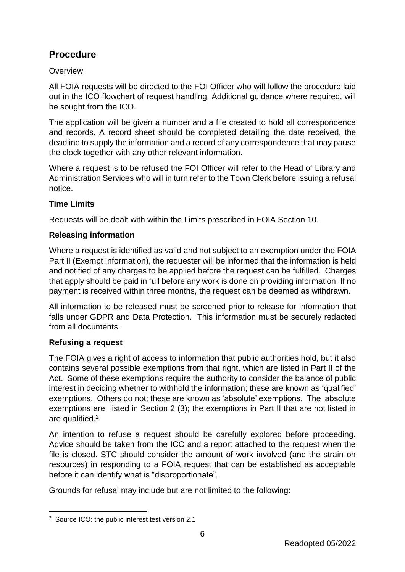# **Procedure**

# **Overview**

All FOIA requests will be directed to the FOI Officer who will follow the procedure laid out in the ICO flowchart of request handling. Additional guidance where required, will be sought from the ICO.

The application will be given a number and a file created to hold all correspondence and records. A record sheet should be completed detailing the date received, the deadline to supply the information and a record of any correspondence that may pause the clock together with any other relevant information.

Where a request is to be refused the FOI Officer will refer to the Head of Library and Administration Services who will in turn refer to the Town Clerk before issuing a refusal notice.

# **Time Limits**

Requests will be dealt with within the Limits prescribed in FOIA Section 10.

# **Releasing information**

Where a request is identified as valid and not subject to an exemption under the FOIA Part II (Exempt Information), the requester will be informed that the information is held and notified of any charges to be applied before the request can be fulfilled. Charges that apply should be paid in full before any work is done on providing information. If no payment is received within three months, the request can be deemed as withdrawn.

All information to be released must be screened prior to release for information that falls under GDPR and Data Protection. This information must be securely redacted from all documents.

# **Refusing a request**

The FOIA gives a right of access to information that public authorities hold, but it also contains several possible exemptions from that right, which are listed in Part II of the Act. Some of these exemptions require the authority to consider the balance of public interest in deciding whether to withhold the information; these are known as 'qualified' exemptions. Others do not; these are known as 'absolute' exemptions. The absolute exemptions are listed in Section 2 (3); the exemptions in Part II that are not listed in are qualified. 2

An intention to refuse a request should be carefully explored before proceeding. Advice should be taken from the ICO and a report attached to the request when the file is closed. STC should consider the amount of work involved (and the strain on resources) in responding to a FOIA request that can be established as acceptable before it can identify what is "disproportionate".

Grounds for refusal may include but are not limited to the following:

<sup>1</sup> 2 Source ICO: the public interest test version 2.1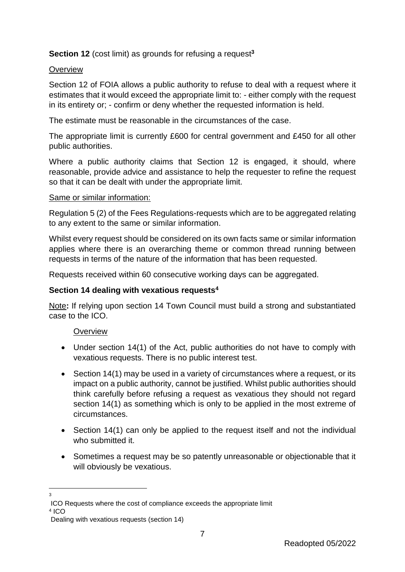# **Section 12** (cost limit) as grounds for refusing a request**<sup>3</sup>**

## **Overview**

Section 12 of FOIA allows a public authority to refuse to deal with a request where it estimates that it would exceed the appropriate limit to: - either comply with the request in its entirety or; - confirm or deny whether the requested information is held.

The estimate must be reasonable in the circumstances of the case.

The appropriate limit is currently £600 for central government and £450 for all other public authorities.

Where a public authority claims that Section 12 is engaged, it should, where reasonable, provide advice and assistance to help the requester to refine the request so that it can be dealt with under the appropriate limit.

## Same or similar information:

Regulation 5 (2) of the Fees Regulations-requests which are to be aggregated relating to any extent to the same or similar information.

Whilst every request should be considered on its own facts same or similar information applies where there is an overarching theme or common thread running between requests in terms of the nature of the information that has been requested.

Requests received within 60 consecutive working days can be aggregated.

# **Section 14 dealing with vexatious requests<sup>4</sup>**

Note**:** If relying upon section 14 Town Council must build a strong and substantiated case to the ICO.

## **Overview**

- Under section 14(1) of the Act, public authorities do not have to comply with vexatious requests. There is no public interest test.
- Section 14(1) may be used in a variety of circumstances where a request, or its impact on a public authority, cannot be justified. Whilst public authorities should think carefully before refusing a request as vexatious they should not regard section 14(1) as something which is only to be applied in the most extreme of circumstances.
- Section 14(1) can only be applied to the request itself and not the individual who submitted it.
- Sometimes a request may be so patently unreasonable or objectionable that it will obviously be vexatious.
- $\frac{1}{3}$

7

ICO Requests where the cost of compliance exceeds the appropriate limit

<sup>4</sup> ICO

Dealing with vexatious requests (section 14)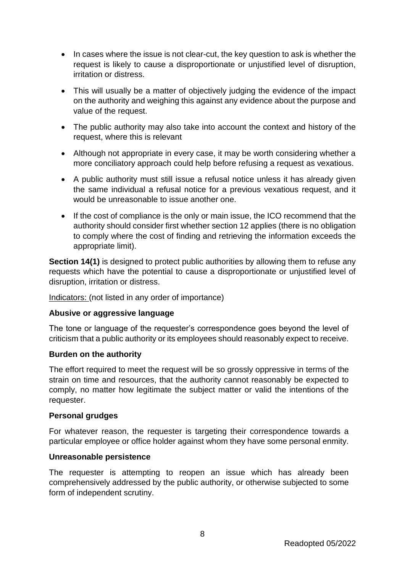- In cases where the issue is not clear-cut, the key question to ask is whether the request is likely to cause a disproportionate or unjustified level of disruption, irritation or distress.
- This will usually be a matter of objectively judging the evidence of the impact on the authority and weighing this against any evidence about the purpose and value of the request.
- The public authority may also take into account the context and history of the request, where this is relevant
- Although not appropriate in every case, it may be worth considering whether a more conciliatory approach could help before refusing a request as vexatious.
- A public authority must still issue a refusal notice unless it has already given the same individual a refusal notice for a previous vexatious request, and it would be unreasonable to issue another one.
- If the cost of compliance is the only or main issue, the ICO recommend that the authority should consider first whether section 12 applies (there is no obligation to comply where the cost of finding and retrieving the information exceeds the appropriate limit).

**Section 14(1)** is designed to protect public authorities by allowing them to refuse any requests which have the potential to cause a disproportionate or unjustified level of disruption, irritation or distress.

Indicators: (not listed in any order of importance)

# **Abusive or aggressive language**

The tone or language of the requester's correspondence goes beyond the level of criticism that a public authority or its employees should reasonably expect to receive.

## **Burden on the authority**

The effort required to meet the request will be so grossly oppressive in terms of the strain on time and resources, that the authority cannot reasonably be expected to comply, no matter how legitimate the subject matter or valid the intentions of the requester.

## **Personal grudges**

For whatever reason, the requester is targeting their correspondence towards a particular employee or office holder against whom they have some personal enmity.

## **Unreasonable persistence**

The requester is attempting to reopen an issue which has already been comprehensively addressed by the public authority, or otherwise subjected to some form of independent scrutiny.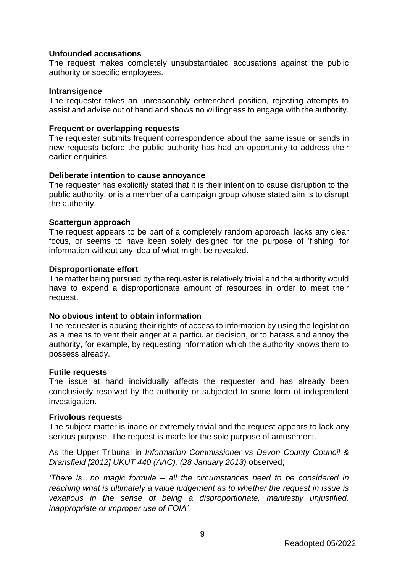#### **Unfounded accusations**

The request makes completely unsubstantiated accusations against the public authority or specific employees.

#### **Intransigence**

The requester takes an unreasonably entrenched position, rejecting attempts to assist and advise out of hand and shows no willingness to engage with the authority.

#### **Frequent or overlapping requests**

The requester submits frequent correspondence about the same issue or sends in new requests before the public authority has had an opportunity to address their earlier enquiries.

#### **Deliberate intention to cause annoyance**

The requester has explicitly stated that it is their intention to cause disruption to the public authority, or is a member of a campaign group whose stated aim is to disrupt the authority.

#### **Scattergun approach**

The request appears to be part of a completely random approach, lacks any clear focus, or seems to have been solely designed for the purpose of 'fishing' for information without any idea of what might be revealed.

#### **Disproportionate effort**

The matter being pursued by the requester is relatively trivial and the authority would have to expend a disproportionate amount of resources in order to meet their request.

## **No obvious intent to obtain information**

The requester is abusing their rights of access to information by using the legislation as a means to vent their anger at a particular decision, or to harass and annoy the authority, for example, by requesting information which the authority knows them to possess already.

#### **Futile requests**

The issue at hand individually affects the requester and has already been conclusively resolved by the authority or subjected to some form of independent investigation.

#### **Frivolous requests**

The subject matter is inane or extremely trivial and the request appears to lack any serious purpose. The request is made for the sole purpose of amusement.

As the Upper Tribunal in *Information Commissioner vs Devon County Council & Dransfield [2012] UKUT 440 (AAC), (28 January 2013)* observed;

*'There is…no magic formula – all the circumstances need to be considered in reaching what is ultimately a value judgement as to whether the request in issue is vexatious in the sense of being a disproportionate, manifestly unjustified, inappropriate or improper use of FOIA'.*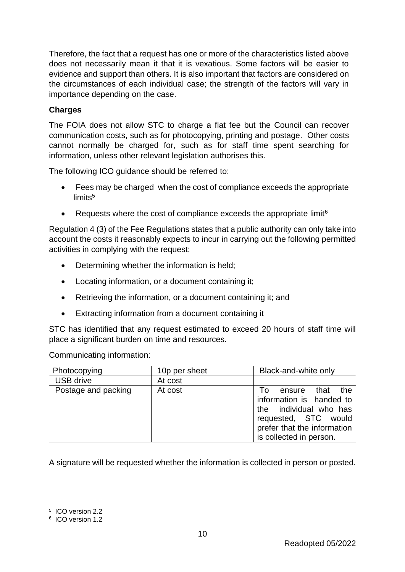Therefore, the fact that a request has one or more of the characteristics listed above does not necessarily mean it that it is vexatious. Some factors will be easier to evidence and support than others. It is also important that factors are considered on the circumstances of each individual case; the strength of the factors will vary in importance depending on the case.

# **Charges**

The FOIA does not allow STC to charge a flat fee but the Council can recover communication costs, such as for photocopying, printing and postage. Other costs cannot normally be charged for, such as for staff time spent searching for information, unless other relevant legislation authorises this.

The following ICO guidance should be referred to:

- Fees may be charged when the cost of compliance exceeds the appropriate limits<sup>5</sup>
- **•** Requests where the cost of compliance exceeds the appropriate limit<sup>6</sup>

Regulation 4 (3) of the Fee Regulations states that a public authority can only take into account the costs it reasonably expects to incur in carrying out the following permitted activities in complying with the request:

- Determining whether the information is held;
- Locating information, or a document containing it;
- Retrieving the information, or a document containing it; and
- Extracting information from a document containing it

STC has identified that any request estimated to exceed 20 hours of staff time will place a significant burden on time and resources.

Communicating information:

| Photocopying        | 10p per sheet | Black-and-white only                                                                                                                                             |
|---------------------|---------------|------------------------------------------------------------------------------------------------------------------------------------------------------------------|
| <b>USB drive</b>    | At cost       |                                                                                                                                                                  |
| Postage and packing | At cost       | the<br>ensure that<br>Τo<br>information is handed to<br>the individual who has<br>requested, STC would<br>prefer that the information<br>is collected in person. |

A signature will be requested whether the information is collected in person or posted.

<sup>1</sup> 5 ICO version 2.2

<sup>6</sup> ICO version 1.2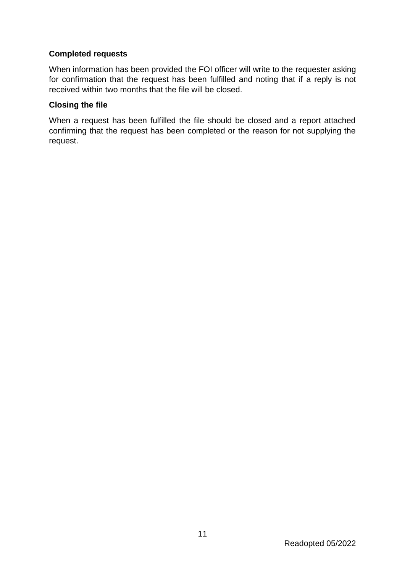# **Completed requests**

When information has been provided the FOI officer will write to the requester asking for confirmation that the request has been fulfilled and noting that if a reply is not received within two months that the file will be closed.

# **Closing the file**

When a request has been fulfilled the file should be closed and a report attached confirming that the request has been completed or the reason for not supplying the request.